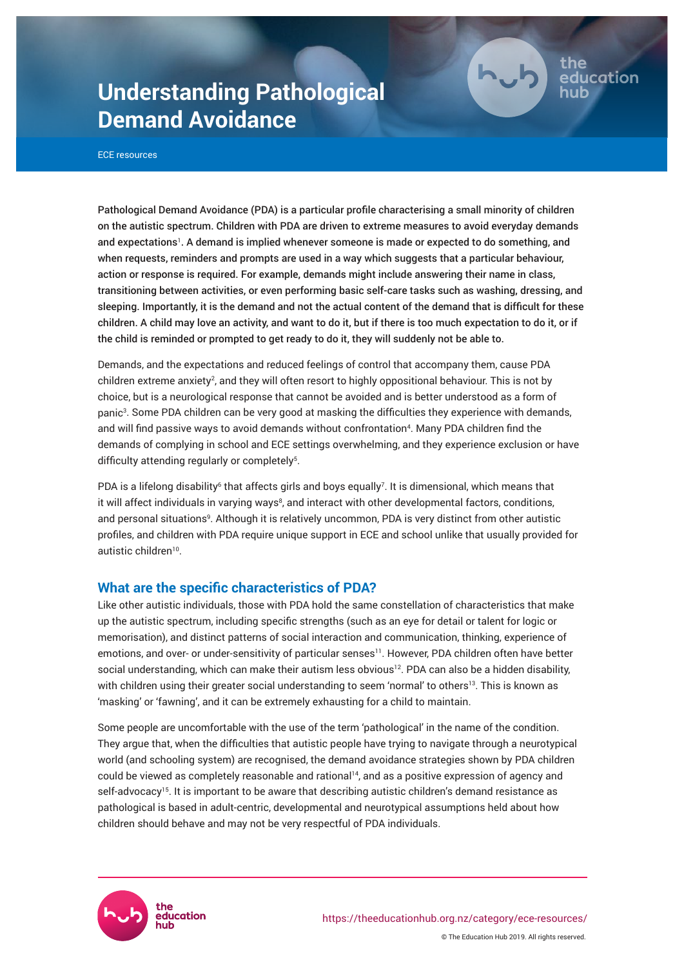# **Understanding Pathological Demand Avoidance**

ECE resources

Pathological Demand Avoidance (PDA) is a particular profile characterising a small minority of children on the autistic spectrum. Children with PDA are driven to extreme measures to avoid everyday demands and expectations<sup>1</sup>. A demand is implied whenever someone is made or expected to do something, and when requests, reminders and prompts are used in a way which suggests that a particular behaviour, action or response is required. For example, demands might include answering their name in class, transitioning between activities, or even performing basic self-care tasks such as washing, dressing, and sleeping. Importantly, it is the demand and not the actual content of the demand that is difficult for these children. A child may love an activity, and want to do it, but if there is too much expectation to do it, or if the child is reminded or prompted to get ready to do it, they will suddenly not be able to.

ducation

Demands, and the expectations and reduced feelings of control that accompany them, cause PDA children extreme anxiety<sup>2</sup>, and they will often resort to highly oppositional behaviour. This is not by choice, but is a neurological response that cannot be avoided and is better understood as a form of panic<sup>3</sup>. Some PDA children can be very good at masking the difficulties they experience with demands, and will find passive ways to avoid demands without confrontation<sup>4</sup>. Many PDA children find the demands of complying in school and ECE settings overwhelming, and they experience exclusion or have difficulty attending regularly or completely<sup>5</sup>.

PDA is a lifelong disability<sup>6</sup> that affects girls and boys equally<sup>7</sup>. It is dimensional, which means that it will affect individuals in varying ways<sup>8</sup>, and interact with other developmental factors, conditions, and personal situations<sup>9</sup>. Although it is relatively uncommon, PDA is very distinct from other autistic profiles, and children with PDA require unique support in ECE and school unlike that usually provided for autistic children<sup>10</sup>.

# **What are the specific characteristics of PDA?**

Like other autistic individuals, those with PDA hold the same constellation of characteristics that make up the autistic spectrum, including specific strengths (such as an eye for detail or talent for logic or memorisation), and distinct patterns of social interaction and communication, thinking, experience of emotions, and over- or under-sensitivity of particular senses<sup>11</sup>. However, PDA children often have better social understanding, which can make their autism less obvious<sup>12</sup>. PDA can also be a hidden disability, with children using their greater social understanding to seem 'normal' to others<sup>13</sup>. This is known as 'masking' or 'fawning', and it can be extremely exhausting for a child to maintain.

Some people are uncomfortable with the use of the term 'pathological' in the name of the condition. They argue that, when the difficulties that autistic people have trying to navigate through a neurotypical world (and schooling system) are recognised, the demand avoidance strategies shown by PDA children could be viewed as completely reasonable and rational<sup>14</sup>, and as a positive expression of agency and self-advocacy<sup>15</sup>. It is important to be aware that describing autistic children's demand resistance as pathological is based in adult-centric, developmental and neurotypical assumptions held about how children should behave and may not be very respectful of PDA individuals.

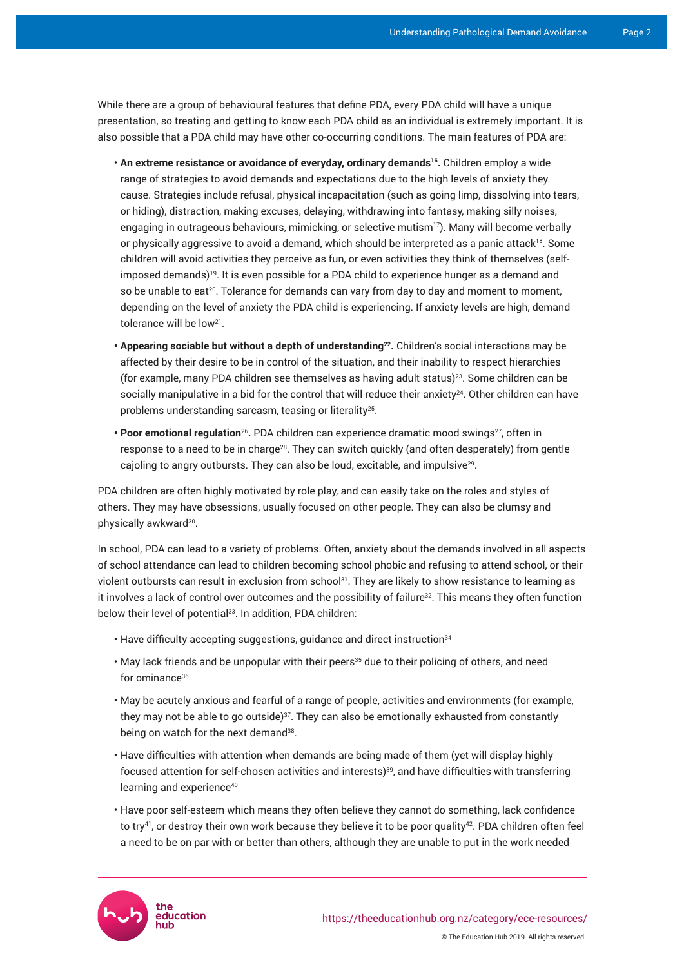While there are a group of behavioural features that define PDA, every PDA child will have a unique presentation, so treating and getting to know each PDA child as an individual is extremely important. It is also possible that a PDA child may have other co-occurring conditions. The main features of PDA are:

- **An extreme resistance or avoidance of everyday, ordinary demands<sup>16</sup> .** Children employ a wide range of strategies to avoid demands and expectations due to the high levels of anxiety they cause. Strategies include refusal, physical incapacitation (such as going limp, dissolving into tears, or hiding), distraction, making excuses, delaying, withdrawing into fantasy, making silly noises, engaging in outrageous behaviours, mimicking, or selective mutism<sup>17</sup>). Many will become verbally or physically aggressive to avoid a demand, which should be interpreted as a panic attack<sup>18</sup>. Some children will avoid activities they perceive as fun, or even activities they think of themselves (selfimposed demands)<sup>19</sup>. It is even possible for a PDA child to experience hunger as a demand and so be unable to eat<sup>20</sup>. Tolerance for demands can vary from day to day and moment to moment, depending on the level of anxiety the PDA child is experiencing. If anxiety levels are high, demand tolerance will be low<sup>21</sup>.
- **Appearing sociable but without a depth of understanding<sup>22</sup> .** Children's social interactions may be affected by their desire to be in control of the situation, and their inability to respect hierarchies (for example, many PDA children see themselves as having adult status)<sup>23</sup>. Some children can be socially manipulative in a bid for the control that will reduce their anxiety<sup>24</sup>. Other children can have problems understanding sarcasm, teasing or literality<sup>25</sup> .
- Poor emotional regulation<sup>26</sup>. PDA children can experience dramatic mood swings<sup>27</sup>, often in response to a need to be in charge<sup>28</sup>. They can switch quickly (and often desperately) from gentle cajoling to angry outbursts. They can also be loud, excitable, and impulsive<sup>29</sup> .

PDA children are often highly motivated by role play, and can easily take on the roles and styles of others. They may have obsessions, usually focused on other people. They can also be clumsy and physically awkward $^{30}$ .

In school, PDA can lead to a variety of problems. Often, anxiety about the demands involved in all aspects of school attendance can lead to children becoming school phobic and refusing to attend school, or their violent outbursts can result in exclusion from school<sup>31</sup>. They are likely to show resistance to learning as it involves a lack of control over outcomes and the possibility of failure<sup>32</sup>. This means they often function below their level of potential<sup>33</sup>. In addition, PDA children:

- Have difficulty accepting suggestions, guidance and direct instruction<sup>34</sup>
- May lack friends and be unpopular with their peers<sup>35</sup> due to their policing of others, and need for ominance<sup>36</sup>
- May be acutely anxious and fearful of a range of people, activities and environments (for example, they may not be able to go outside) $37$ . They can also be emotionally exhausted from constantly being on watch for the next demand<sup>38</sup>.
- Have difficulties with attention when demands are being made of them (yet will display highly focused attention for self-chosen activities and interests)<sup>39</sup>, and have difficulties with transferring learning and experience<sup>40</sup>
- Have poor self-esteem which means they often believe they cannot do something, lack confidence to try<sup>41</sup>, or destroy their own work because they believe it to be poor quality<sup>42</sup>. PDA children often feel a need to be on par with or better than others, although they are unable to put in the work needed



© The Education Hub 2019. All rights reserved.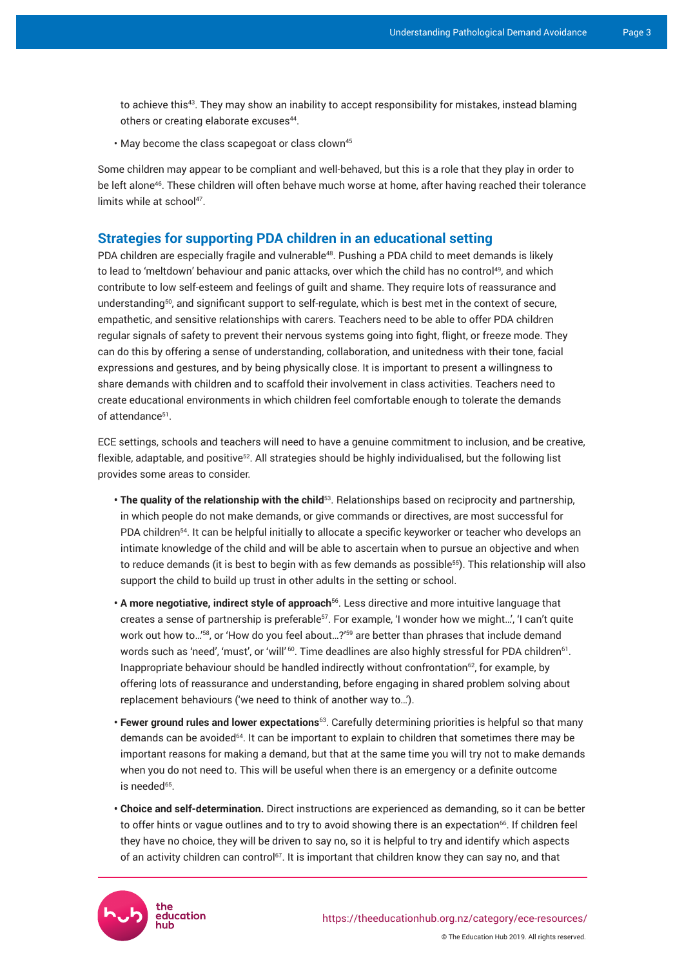to achieve this<sup>43</sup>. They may show an inability to accept responsibility for mistakes, instead blaming others or creating elaborate excuses<sup>44</sup>.

• May become the class scapegoat or class clown<sup>45</sup>

Some children may appear to be compliant and well-behaved, but this is a role that they play in order to be left alone<sup>46</sup>. These children will often behave much worse at home, after having reached their tolerance limits while at school<sup>47</sup>.

## **Strategies for supporting PDA children in an educational setting**

PDA children are especially fragile and vulnerable<sup>48</sup>. Pushing a PDA child to meet demands is likely to lead to 'meltdown' behaviour and panic attacks, over which the child has no control<sup>49</sup>, and which contribute to low self-esteem and feelings of guilt and shame. They require lots of reassurance and understanding<sup>50</sup>, and significant support to self-regulate, which is best met in the context of secure, empathetic, and sensitive relationships with carers. Teachers need to be able to offer PDA children regular signals of safety to prevent their nervous systems going into fight, flight, or freeze mode. They can do this by offering a sense of understanding, collaboration, and unitedness with their tone, facial expressions and gestures, and by being physically close. It is important to present a willingness to share demands with children and to scaffold their involvement in class activities. Teachers need to create educational environments in which children feel comfortable enough to tolerate the demands of attendance<sup>51</sup>.

ECE settings, schools and teachers will need to have a genuine commitment to inclusion, and be creative, flexible, adaptable, and positive<sup>52</sup>. All strategies should be highly individualised, but the following list provides some areas to consider.

- **The quality of the relationship with the child**<sup>53</sup>. Relationships based on reciprocity and partnership, in which people do not make demands, or give commands or directives, are most successful for PDA children<sup>54</sup>. It can be helpful initially to allocate a specific keyworker or teacher who develops an intimate knowledge of the child and will be able to ascertain when to pursue an objective and when to reduce demands (it is best to begin with as few demands as possible<sup>55</sup>). This relationship will also support the child to build up trust in other adults in the setting or school.
- **A more negotiative, indirect style of approach**<sup>56</sup>. Less directive and more intuitive language that creates a sense of partnership is preferable<sup>57</sup>. For example, 'I wonder how we might...', 'I can't quite work out how to...<sup>'58</sup>, or 'How do you feel about...?'<sup>59</sup> are better than phrases that include demand words such as 'need', 'must', or 'will'  $^{60}$ . Time deadlines are also highly stressful for PDA children $^{61}$ . Inappropriate behaviour should be handled indirectly without confrontation<sup>62</sup>, for example, by offering lots of reassurance and understanding, before engaging in shared problem solving about replacement behaviours ('we need to think of another way to…').
- **Fewer ground rules and lower expectations**<sup>63</sup>. Carefully determining priorities is helpful so that many demands can be avoided<sup>64</sup>. It can be important to explain to children that sometimes there may be important reasons for making a demand, but that at the same time you will try not to make demands when you do not need to. This will be useful when there is an emergency or a definite outcome is needed<sup>65</sup>.
- **Choice and self-determination.** Direct instructions are experienced as demanding, so it can be better to offer hints or vague outlines and to try to avoid showing there is an expectation<sup>66</sup>. If children feel they have no choice, they will be driven to say no, so it is helpful to try and identify which aspects of an activity children can control<sup>67</sup>. It is important that children know they can say no, and that



© The Education Hub 2019. All rights reserved.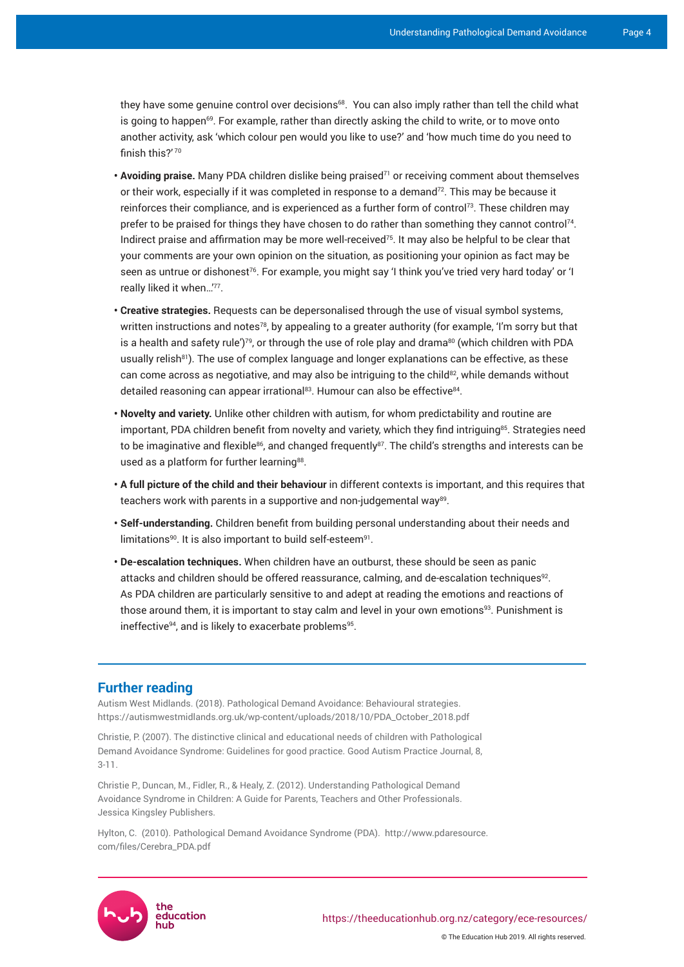they have some genuine control over decisions<sup>68</sup>. You can also imply rather than tell the child what is going to happen $69$ . For example, rather than directly asking the child to write, or to move onto another activity, ask 'which colour pen would you like to use?' and 'how much time do you need to finish this?'70

- **Avoiding praise.** Many PDA children dislike being praised<sup>71</sup> or receiving comment about themselves or their work, especially if it was completed in response to a demand<sup>72</sup>. This may be because it reinforces their compliance, and is experienced as a further form of control<sup>73</sup>. These children may prefer to be praised for things they have chosen to do rather than something they cannot control<sup>74</sup>. Indirect praise and affirmation may be more well-received<sup>75</sup>. It may also be helpful to be clear that your comments are your own opinion on the situation, as positioning your opinion as fact may be seen as untrue or dishonest<sup>76</sup>. For example, you might say 'I think you've tried very hard today' or 'I really liked it when…'<sup>77</sup> .
- **Creative strategies.** Requests can be depersonalised through the use of visual symbol systems, written instructions and notes<sup>78</sup>, by appealing to a greater authority (for example, 'I'm sorry but that is a health and safety rule')<sup>79</sup>, or through the use of role play and drama<sup>80</sup> (which children with PDA usually relish<sup>81</sup>). The use of complex language and longer explanations can be effective, as these can come across as negotiative, and may also be intriguing to the child<sup>82</sup>, while demands without detailed reasoning can appear irrational<sup>83</sup>. Humour can also be effective<sup>84</sup>.
- **Novelty and variety.** Unlike other children with autism, for whom predictability and routine are important, PDA children benefit from novelty and variety, which they find intriguing<sup>85</sup>. Strategies need to be imaginative and flexible<sup>86</sup>, and changed frequently<sup>87</sup>. The child's strengths and interests can be used as a platform for further learning<sup>88</sup>.
- **A full picture of the child and their behaviour** in different contexts is important, and this requires that teachers work with parents in a supportive and non-judgemental way $^{\rm 89}$ .
- **Self-understanding.** Children benefit from building personal understanding about their needs and limitations $^{90}$ . It is also important to build self-esteem $^{91}$ .
- **De-escalation techniques.** When children have an outburst, these should be seen as panic attacks and children should be offered reassurance, calming, and de-escalation techniques $92$ . As PDA children are particularly sensitive to and adept at reading the emotions and reactions of those around them, it is important to stay calm and level in your own emotions<sup>93</sup>. Punishment is ineffective $^{94}$ , and is likely to exacerbate problems $^{95}$ .

## **Further reading**

Autism West Midlands. (2018). [Pathological Demand Avoidance: Behavioural strategies](https://autismwestmidlands.org.uk/wp-content/uploads/2018/10/PDA_October_2018.pdf). [https://autismwestmidlands.org.uk/wp-content/uploads/2018/10/PDA\\_October\\_2018.pdf](https://autismwestmidlands.org.uk/wp-content/uploads/2018/10/PDA_October_2018.pdf)

Christie, P. (2007). [The distinctive clinical and educational needs of children with Pathological](http://website.twtt.org.uk/media/5.2-strategies-for-teaching-pupils-with-PDA.pdf)  [Demand Avoidance Syndrome: Guidelines for good practice](http://website.twtt.org.uk/media/5.2-strategies-for-teaching-pupils-with-PDA.pdf). Good Autism Practice Journal, 8, 3-11.

Christie P., Duncan, M., Fidler, R., & Healy, Z. (2012). Understanding Pathological Demand Avoidance Syndrome in Children: A Guide for Parents, Teachers and Other Professionals. Jessica Kingsley Publishers.

Hylton, C. (2010). [Pathological Demand Avoidance Syndrome](http://www.pdaresource.com/files/Cerebra_PDA.pdf) (PDA). [http://www.pdaresource.](http://www.pdaresource.com/files/Cerebra_PDA.pdf) [com/files/Cerebra\\_PDA.pdf](http://www.pdaresource.com/files/Cerebra_PDA.pdf)

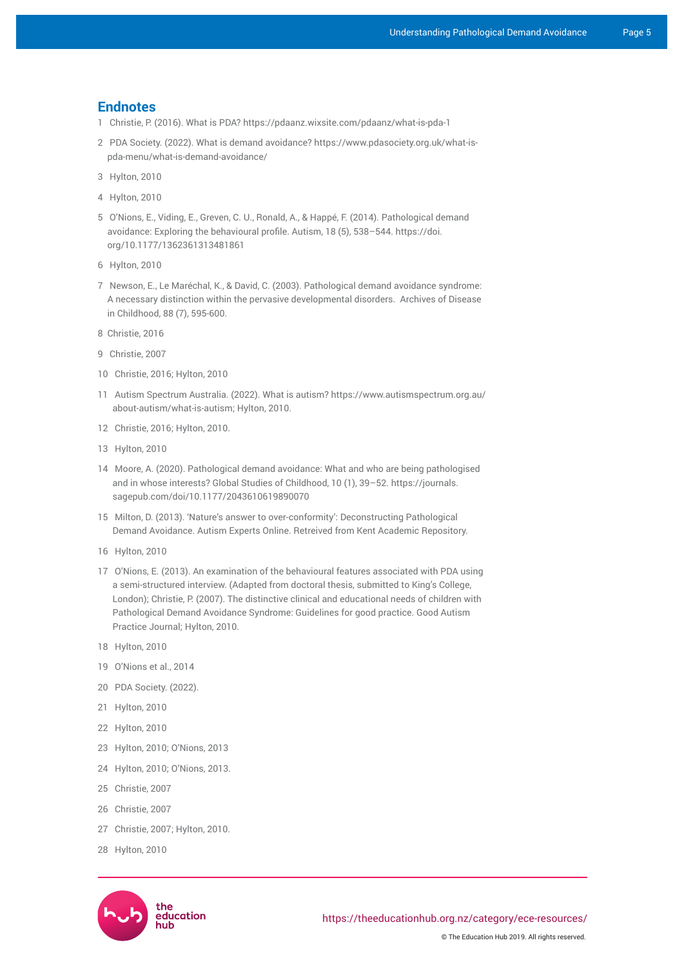#### **Endnotes**

- 1 Christie, P. (2016). What is PDA? <https://pdaanz.wixsite.com/pdaanz/what-is-pda-1>
- 2 PDA Society. (2022). What is demand avoidance? [https://www.pdasociety.org.uk/what-is](https://www.pdasociety.org.uk/what-is-pda-menu/what-is-demand-avoidance/)[pda-menu/what-is-demand-avoidance/](https://www.pdasociety.org.uk/what-is-pda-menu/what-is-demand-avoidance/)
- 3 Hylton, 2010
- 4 Hylton, 2010
- 5 O'Nions, E., Viding, E., Greven, C. U., Ronald, A., & Happé, F. (2014). Pathological demand avoidance: Exploring the behavioural profile. Autism, 18 (5), 538–544. [https://doi.](https://doi.org/10.1177/1362361313481861) [org/10.1177/1362361313481861](https://doi.org/10.1177/1362361313481861)
- 6 Hylton, 2010
- 7 Newson, E., Le Maréchal, K., & David, C. (2003). Pathological demand avoidance syndrome: A necessary distinction within the pervasive developmental disorders. Archives of Disease in Childhood, 88 (7), 595-600.
- 8 Christie, 2016
- 9 Christie, 2007
- 10 Christie, 2016; Hylton, 2010
- 11 Autism Spectrum Australia. (2022). What is autism? [https://www.autismspectrum.org.au/](https://www.autismspectrum.org.au/about-autism/what-is-autism) [about-autism/what-is-autism](https://www.autismspectrum.org.au/about-autism/what-is-autism); Hylton, 2010.
- 12 Christie, 2016; Hylton, 2010.
- 13 Hylton, 2010
- 14 Moore, A. (2020). Pathological demand avoidance: What and who are being pathologised and in whose interests? Global Studies of Childhood, 10 (1), 39–52. [https://journals.](https://journals.sagepub.com/doi/10.1177/2043610619890070) [sagepub.com/doi/10.1177/2043610619890070](https://journals.sagepub.com/doi/10.1177/2043610619890070)
- 15 Milton, D. (2013). 'Nature's answer to over-conformity': Deconstructing Pathological Demand Avoidance. Autism Experts Online. Retreived from Kent Academic Repository.
- 16 Hylton, 2010
- 17 O'Nions, E. (2013). An examination of the behavioural features associated with PDA using a semi-structured interview. (Adapted from doctoral thesis, submitted to King's College, London); Christie, P. (2007). The distinctive clinical and educational needs of children with Pathological Demand Avoidance Syndrome: Guidelines for good practice. Good Autism Practice Journal; Hylton, 2010.
- 18 Hylton, 2010
- 19 O'Nions et al., 2014
- 20 PDA Society. (2022).
- 21 Hylton, 2010
- 22 Hylton, 2010
- 23 Hylton, 2010; O'Nions, 2013
- 24 Hylton, 2010; O'Nions, 2013.
- 25 Christie, 2007
- 26 Christie, 2007
- 27 Christie, 2007; Hylton, 2010.
- 28 Hylton, 2010

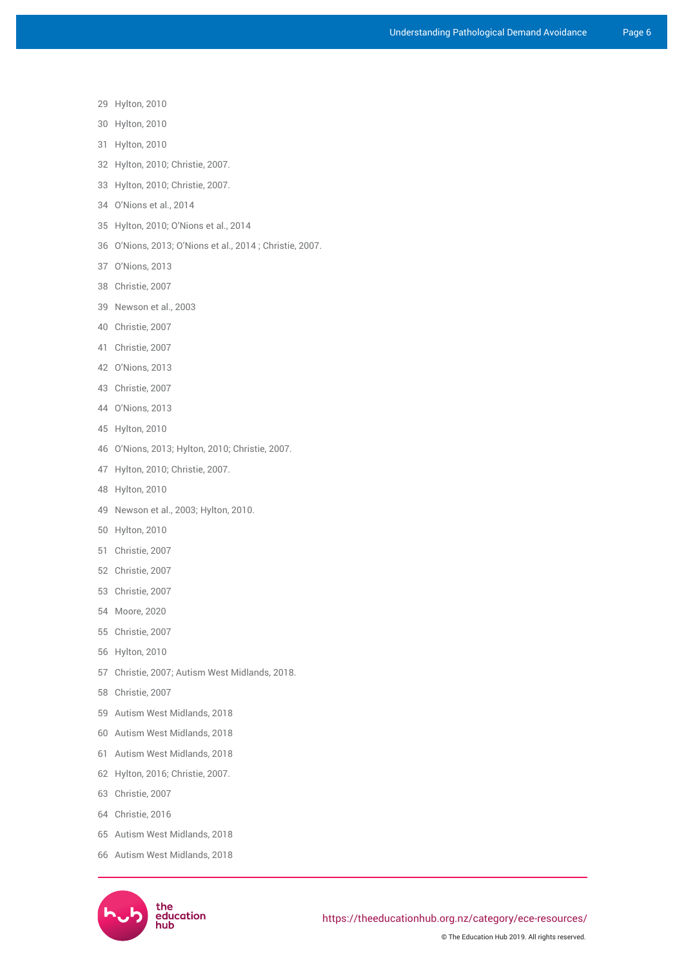- 29 Hylton, 2010
- 30 Hylton, 2010
- 31 Hylton, 2010
- 32 Hylton, 2010; Christie, 2007.
- 33 Hylton, 2010; Christie, 2007.
- 34 O'Nions et al., 2014
- 35 Hylton, 2010; O'Nions et al., 2014
- 36 O'Nions, 2013; O'Nions et al., 2014 ; Christie, 2007.
- 37 O'Nions, 2013
- 38 Christie, 2007
- 39 Newson et al., 2003
- 40 Christie, 2007
- 41 Christie, 2007
- 42 O'Nions, 2013
- 43 Christie, 2007
- 44 O'Nions, 2013
- 45 Hylton, 2010
- 46 O'Nions, 2013; Hylton, 2010; Christie, 2007.
- 47 Hylton, 2010; Christie, 2007.
- 48 Hylton, 2010
- 49 Newson et al., 2003; Hylton, 2010.
- 50 Hylton, 2010
- 51 Christie, 2007
- 52 Christie, 2007
- 53 Christie, 2007
- 54 Moore, 2020
- 55 Christie, 2007
- 56 Hylton, 2010
- 57 Christie, 2007; Autism West Midlands, 2018.
- 58 Christie, 2007
- 59 Autism West Midlands, 2018
- 60 Autism West Midlands, 2018
- 61 Autism West Midlands, 2018
- 62 Hylton, 2016; Christie, 2007.
- 63 Christie, 2007
- 64 Christie, 2016
- 65 Autism West Midlands, 2018
- 66 Autism West Midlands, 2018